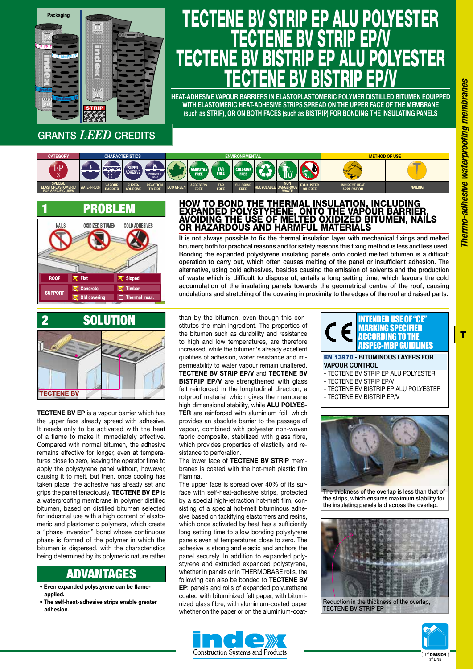

## GRANTS *LEED* CREDITS

#### **CATEGORY SPECIAL ELASTOPLASTOMERIC FOR SPECIFIC USES** EP S **CHARACTERISTICS WATERPROOF VAPOUR BARRIER SUPER-ADHESIVE SUPER ADHESIVE REACTION TO FIRE Reazione al fuoco ENVIRONRMENTAL ECO GREEN ASBESTOS FREE TAR FREE CHLORINE FREE RECYCLABLE NON DANGEROUS WASTE EXHAUSTED OIL FREE METHOD OF USE INDIRECT HEAT APPLICATION NAILING**



### EXPANDED POLYSTYRENE, ONTO THE VAPOUR BARRIER, AVOIDING THE USE OF MELTED OXIDIZED BITUMEN, NAILS OR HAZARDOUS AND HARMFUL MATERIALS It is not always possible to fix the thermal insulation layer with mechanical fixings and melted

HOW TO BOND THE THERMAL INSULATION, INCLUDING

<u>TECTENE BV STRIP EP ALU PULTESTER</u>

<u>TECTENE BY STRIP EP/V</u>

<u>TECTENE BV BISTRIP EP ALU PULTESTER</u>

<u>TECTENE BY BISTRIP EP/V</u> **HEAT-ADHESIVE VAPOUR BARRIERS IN ELASTOPLASTOMERIC POLYMER DISTILLED BITUMEN EQUIPPED WITH ELASTOMERIC HEAT-ADHESIVE STRIPS SPREAD ON THE UPPER FACE OF THE MEMBRANE (such as STRIP), OR ON BOTH FACES (such as BISTRIP) FOR BONDING THE INSULATING PANELS**

bitumen; both for practical reasons and for safety reasons this fixing method is less and less used. Bonding the expanded polystyrene insulating panels onto cooled melted bitumen is a difficult operation to carry out, which often causes melting of the panel or insufficient adhesion. The alternative, using cold adhesives, besides causing the emission of solvents and the production of waste which is difficult to dispose of, entails a long setting time, which favours the cold accumulation of the insulating panels towards the geometrical centre of the roof, causing undulations and stretching of the covering in proximity to the edges of the roof and raised parts.



**TECTENE BV EP** is a vapour barrier which has the upper face already spread with adhesive. It needs only to be activated with the heat of a flame to make it immediately effective. Compared with normal bitumen, the adhesive remains effective for longer, even at temperatures close to zero, leaving the operator time to apply the polystyrene panel without, however, causing it to melt, but then, once cooling has taken place, the adhesive has already set and grips the panel tenaciously. **TECTENE BV EP** is a waterproofing membrane in polymer distilled bitumen, based on distilled bitumen selected for industrial use with a high content of elastomeric and plastomeric polymers, which create a "phase inversion" bond whose continuous phase is formed of the polymer in which the bitumen is dispersed, with the characteristics being determined by its polymeric nature rather

## ADVANTAGES

- **Even expanded polystyrene can be flameapplied.**
- **The self-heat-adhesive strips enable greater adhesion.**

than by the bitumen, even though this constitutes the main ingredient. The properties of the bitumen such as durability and resistance to high and low temperatures, are therefore increased, while the bitumen's already excellent qualities of adhesion, water resistance and impermeability to water vapour remain unaltered. **TECTENE BV STRIP EP/V** and **TECTENE BV BISTRIP EP/V** are strengthened with glass felt reinforced in the longitudinal direction, a rotproof material which gives the membrane high dimensional stability, while **ALU POLYES-TER** are reinforced with aluminium foil, which provides an absolute barrier to the passage of vapour, combined with polyester non-woven fabric composite, stabilized with glass fibre, which provides properties of elasticity and resistance to perforation.

The lower face of **TECTENE BV STRIP** membranes is coated with the hot-melt plastic film Flamina.

The upper face is spread over 40% of its surface with self-heat-adhesive strips, protected by a special high-retraction hot-melt film, consisting of a special hot-melt bituminous adhesive based on tackifying elastomers and resins, which once activated by heat has a sufficiently long setting time to allow bonding polystyrene panels even at temperatures close to zero. The adhesive is strong and elastic and anchors the panel securely. In addition to expanded polystyrene and extruded expanded polystyrene, whether in panels or in THERMOBASE rolls, the following can also be bonded to **TECTENE BV EP**: panels and rolls of expanded polyurethane coated with bituminized felt paper, with bituminized glass fibre, with aluminium-coated paper whether on the paper or on the aluminium-coat-





**VAPOUR CONTROL**

- TECTENE BV STRIP EP ALU POLYESTER
- TECTENE BV STRIP EP/V
- TECTENE BV BISTRIP EP ALU POLYESTER
- TECTENE BV BISTRIP EP/V



The thickness of the overlap is less than that of the strips, which ensures maximum stability for the insulating panels laid across the overlap.



Reduction in the thickness of the overlap, TECTENE BV STRIP EP



T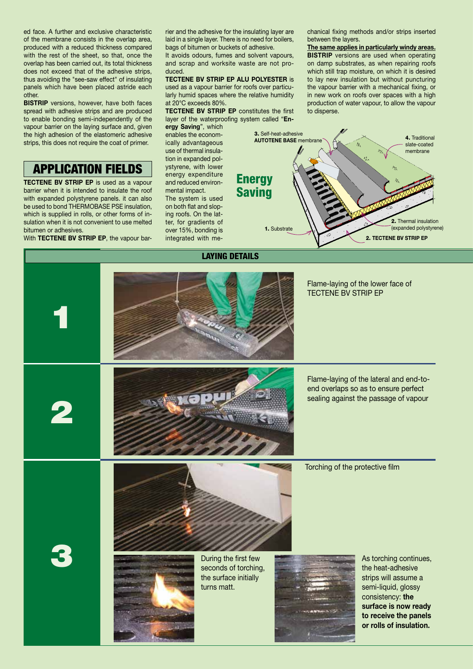ed face. A further and exclusive characteristic of the membrane consists in the overlap area, produced with a reduced thickness compared with the rest of the sheet, so that, once the overlap has been carried out, its total thickness does not exceed that of the adhesive strips, thus avoiding the "see-saw effect" of insulating panels which have been placed astride each other.

**BISTRIP** versions, however, have both faces spread with adhesive strips and are produced to enable bonding semi-independently of the vapour barrier on the laying surface and, given the high adhesion of the elastomeric adhesive strips, this does not require the coat of primer.

## APPLICATION FIELDS

**TECTENE BV STRIP EP** is used as a vapour barrier when it is intended to insulate the roof with expanded polystyrene panels. it can also be used to bond THERMOBASE PSE insulation, which is supplied in rolls, or other forms of insulation when it is not convenient to use melted bitumen or adhesives.

With **TECTENE BV STRIP EP**, the vapour bar-

rier and the adhesive for the insulating layer are laid in a single layer. There is no need for boilers, bags of bitumen or buckets of adhesive. It avoids odours, fumes and solvent vapours, and scrap and worksite waste are not produced.

### **TECTENE BV STRIP EP ALU POLYESTER** is

used as a vapour barrier for roofs over particularly humid spaces where the relative humidity at 20°C exceeds 80%.

**TECTENE BV STRIP EP** constitutes the first layer of the waterproofing system called "**En-**

**ergy Saving**", which enables the economically advantageous use of thermal insulation in expanded polystyrene, with lower energy expenditure and reduced environmental impact. The system is used on both flat and sloping roofs. On the lat-

ter, for gradients of over 15%, bonding is integrated with mechanical fixing methods and/or strips inserted between the layers.

**The same applies in particularly windy areas. BISTRIP** versions are used when operating on damp substrates, as when repairing roofs which still trap moisture, on which it is desired to lay new insulation but without puncturing the vapour barrier with a mechanical fixing, or in new work on roofs over spaces with a high production of water vapour, to allow the vapour to disperse.



# Flame-laying of the lower face of TECTENE BV STRIP EP 1 Flame-laying of the lateral and end-toend overlaps so as to ensure perfect **Wap!** sealing against the passage of vapour 2 Torching of the protective film **3** During the first few During the first few seconds of torching As torching continues, seconds of torching, the heat-adhesive the surface initially strips will assume a turns matt. semi-liquid, glossy consistency: **the surface is now ready to receive the panels or rolls of insulation.**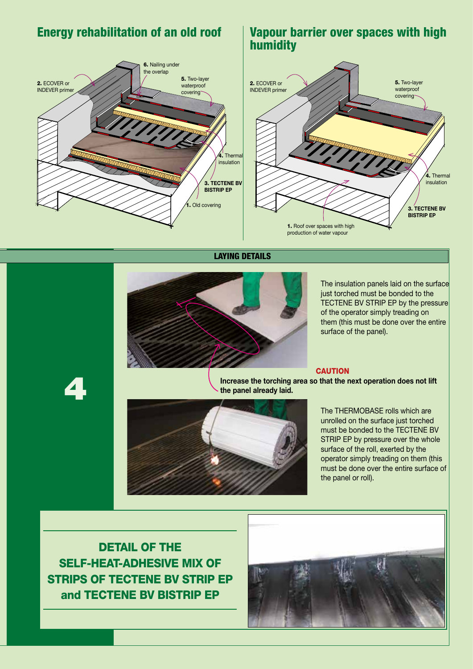

## Energy rehabilitation of an old roof Vapour barrier over spaces with high humidity



LAYING DETAILS



The insulation panels laid on the surface just torched must be bonded to the TECTENE BV STRIP EP by the pressure of the operator simply treading on them (this must be done over the entire surface of the panel).

#### **CAUTION**

4

**Increase the torching area so that the next operation does not lift the panel already laid.**



The THERMOBASE rolls which are unrolled on the surface just torched must be bonded to the TECTENE BV STRIP EP by pressure over the whole surface of the roll, exerted by the operator simply treading on them (this must be done over the entire surface of the panel or roll).

DETAIL OF THE SELF-HEAT-ADHESIVE MIX OF STRIPS OF TECTENE BV STRIP EP and TECTENE BV BISTRIP EP